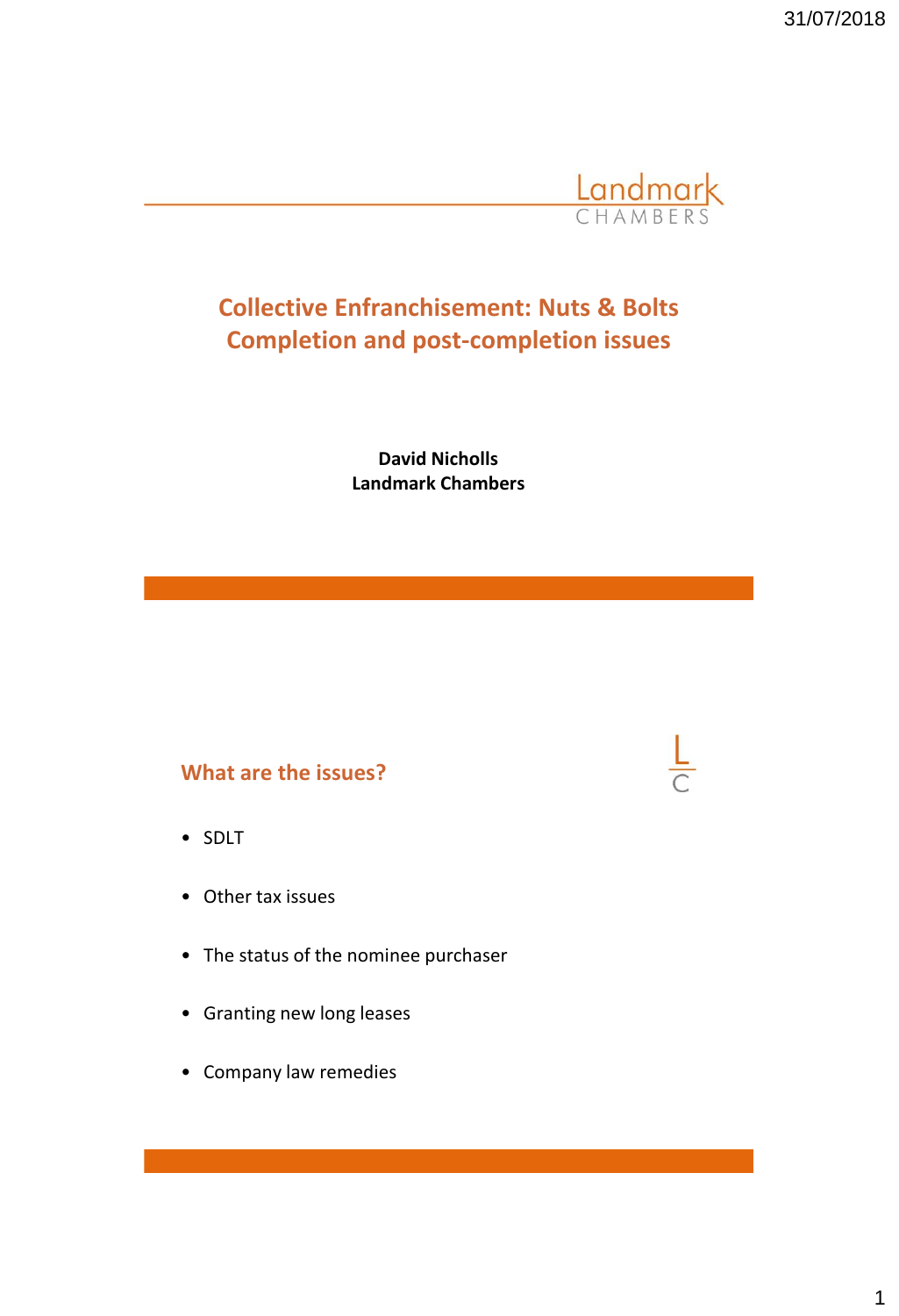31/07/2018



# **Collective Enfranchisement: Nuts & Bolts Completion and post-completion issues**

**David Nicholls Landmark Chambers**

### **What are the issues?**

- SDLT
- Other tax issues
- The status of the nominee purchaser
- Granting new long leases
- Company law remedies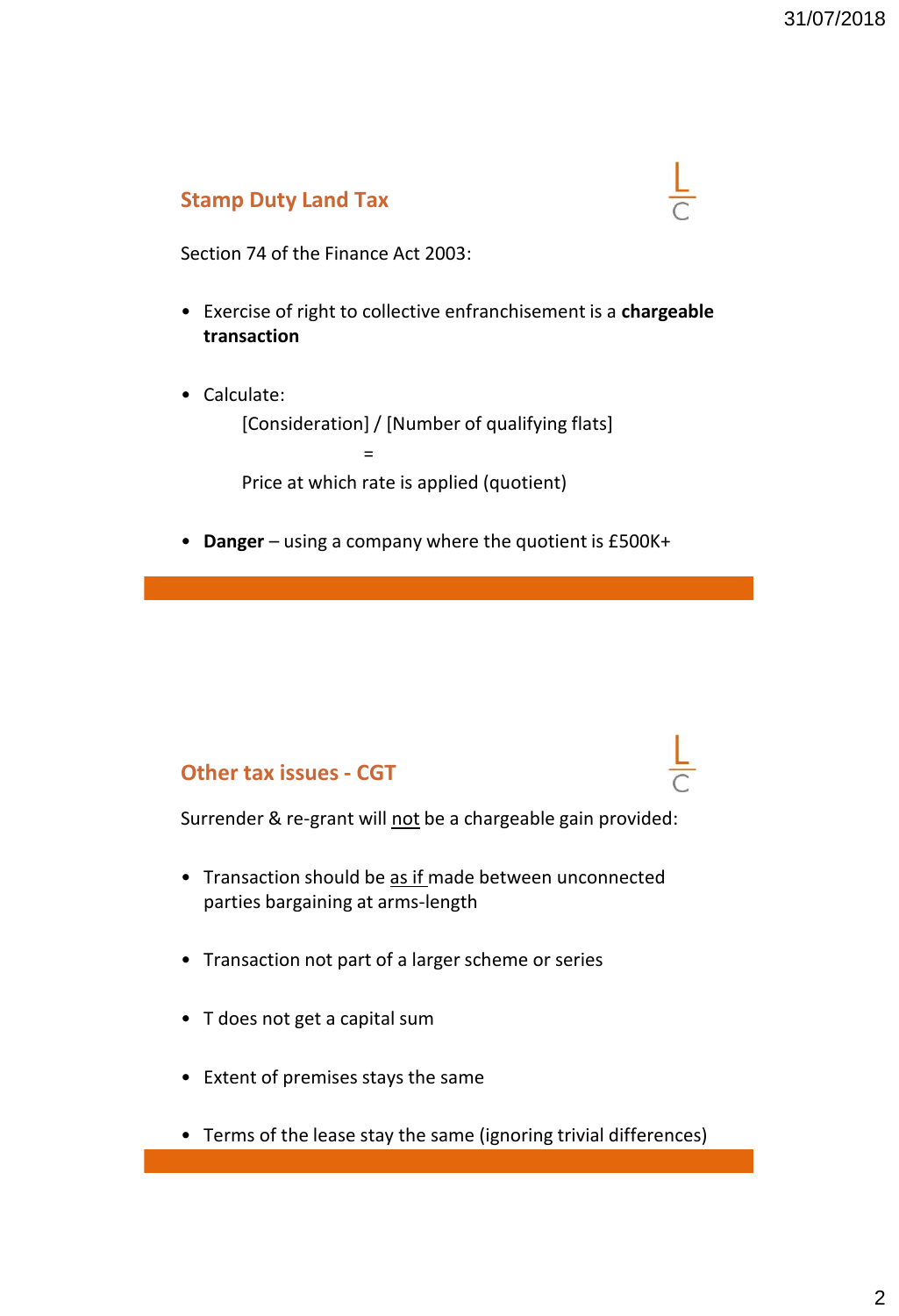## **Stamp Duty Land Tax**

Section 74 of the Finance Act 2003:

- Exercise of right to collective enfranchisement is a **chargeable transaction**
- Calculate:

[Consideration] / [Number of qualifying flats]

Price at which rate is applied (quotient)

=

• **Danger** – using a company where the quotient is £500K+

### **Other tax issues - CGT**

Surrender & re-grant will not be a chargeable gain provided:

- Transaction should be as if made between unconnected parties bargaining at arms-length
- Transaction not part of a larger scheme or series
- T does not get a capital sum
- Extent of premises stays the same
- Terms of the lease stay the same (ignoring trivial differences)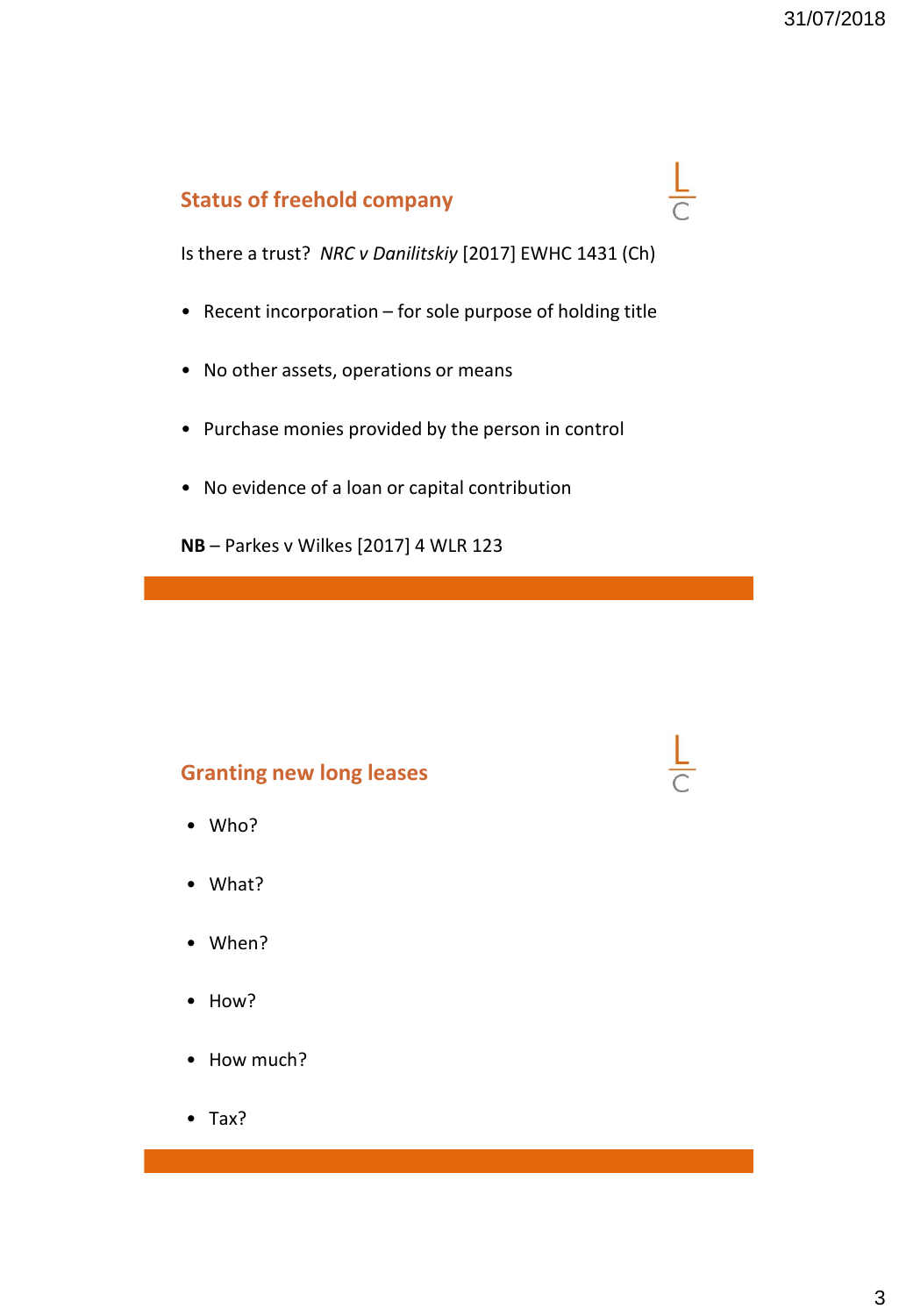$\frac{L}{C}$ 

## **Status of freehold company**

Is there a trust? *NRC v Danilitskiy* [2017] EWHC 1431 (Ch)

- Recent incorporation for sole purpose of holding title
- No other assets, operations or means
- Purchase monies provided by the person in control
- No evidence of a loan or capital contribution

**NB** – Parkes v Wilkes [2017] 4 WLR 123

## **Granting new long leases**

- Who?
- What?
- When?
- How?
- How much?
- Tax?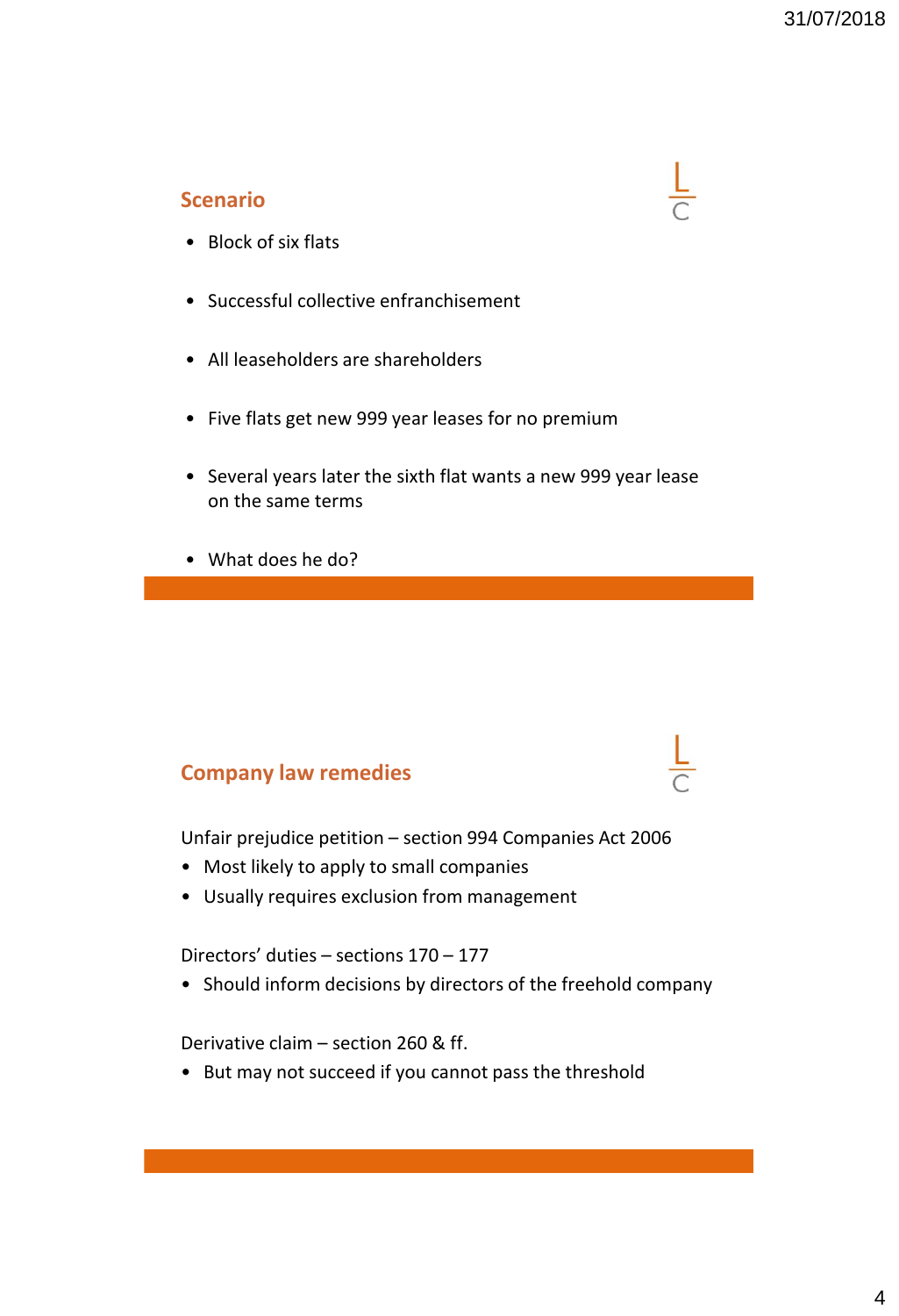## **Scenario**

- Block of six flats
- Successful collective enfranchisement
- All leaseholders are shareholders
- Five flats get new 999 year leases for no premium
- Several years later the sixth flat wants a new 999 year lease on the same terms
- What does he do?

### **Company law remedies**

Unfair prejudice petition – section 994 Companies Act 2006

- Most likely to apply to small companies
- Usually requires exclusion from management

Directors' duties – sections 170 – 177

• Should inform decisions by directors of the freehold company

Derivative claim – section 260 & ff.

• But may not succeed if you cannot pass the threshold